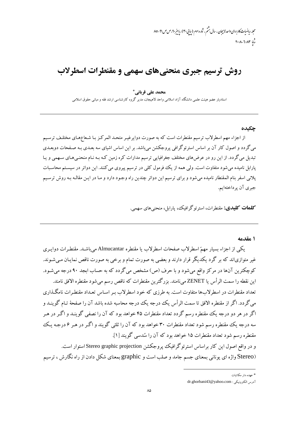مجله رياضيات *كاربردى واحد لابيجان ، سال به*شم ، شاره سوم (بيايي ۳۰)، پاييز ۴*۰،ص ص* ۹۱-۸۵  $r \cdot \lambda - \lambda \cdot \lambda r$ 

# روش ترسیم جبری منحنیهای سهمی و مقنطرات اسطرلاب

### محمد على قرباني \*

استادیار عضو هیئت علمی دانشگاه آزاد اسلامی واحد لاهیجان، مدیر گروه کارشناسی ارشد فقه و مبانی حقوق اسلامی

#### چکىدە

از اجزاء مهم اسطرلاب ترسیم مقنطرات است که به صورت دوایرغیـر متحـد المرکـز بـا شـعاعهـای مختلـف ترسـیم می گردد و اصول کار آن بر اساس استرئوگرافی پروجکشن میباشد. بر این اساس اشیای سه بعـدی بـه صـفحات دوبعـدی تبدیل می گردد. از این رو در عرضهای مختلف جغرافیایی ترسیم مدارات کره زمین کـه بـه نـام منحنـی،هـای سـهمی و یـا پارابل نامیده می شود متفاوت است. ولی همه از یک فرمول کلی در ترسیم پیروی می کنند. این دوائر در سیستم محاسبات يلاني اسفر بنام المقنطار ناميده مي شود و براي ترسيم اين دوائر چندين راه وجـود دارد و مـا در ايـن مقالـه بـه روش ترسـيم جبري آن پرداختهايم.

**کلمات کلیدی:** مقنطرات، استرئوگرافیک، پارابل، منحنیهای سهمی.

#### ۱ مقدمه

یکی از اجزاء بسیار مهمّ اسطرلاب صفحات اسطرلاب یا مقنطره Almucantar میباشد. مقنطـرات دوایـری غیر متوازیاند که بر گرد یکدیگر قرار دارند و بعضی به صورت تمام و برخی به صورت ناقص نمایـان مـی،شـوند. کوچکترین آنها در مرکز واقع میشود و با حرف (ص) مشخص میگردد که به حساب ابجد ۹۰ درجه میشـود. اين نقطه را سمت الرأس يا ZENET ميiامند. بزرگترين مقنطرات كه ناقص رسم مي شود مقنطره الافق نامند. تعداد مقنطرات در اسطرلابها متفاوت است. به طرزی که خود اسطرلاب بـر اسـاس تعـداد مقنطـرات نامگـذاری می گردد. اگر از مقنطره الافق تا سمت الرأس یک درجه یک درجه محاسبه شده باشد آن را صفحهٔ تـام گوینـد و اگر در هر دو درجه یک مقنطره رسم گردد تعداد مقنطرات ۴۵ خواهد بود که آن را نصفی گوینـد و اگـر در هـر سه درجه یک مقنطره رسم شود تعداد مقنطرات ۳۰ خواهد بود که آن را ثلثی گویند و اگـر در هـر ۶درجـه یـک مقنطرِه رسم شود تعداد مقنطرات ۱۵ خواهد بود که آن را سُدسی گویند [۱]. و در واقع اصول این کار براساس استرئوگرافیک پروجکشن Stereo graphic projection استوار است.

<sup>(</sup>Stereo واژه ای یونانی بمعنای جسم جامد و صلب است و graphic بمعنای شکل دادن از راه نگارش ، ترسیم

<sup>\*</sup> عهده دار مکاتبات

آدرس الكترونيكي : dr.ghorbani43@yahoo.com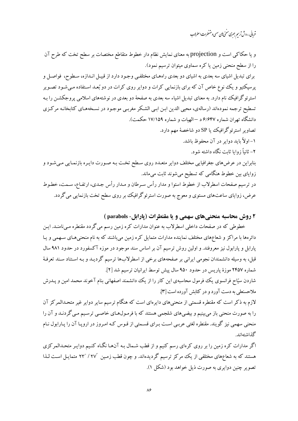.<br>قربانی، روش ترس<u>م</u> جسری منحی **ب**ی سهی ومقىطرات اسطرلاب

و یا حکاکی است و projection به معنای نمایش نظام دار خطوط متقاطع مختصات بر سطح تخت که طرح آن را از سطح منحنی زمین یا کره سماوی میتوان ترسیم نمود). برای تبدیل اشیای سه بعدی به اشیای دو بعدی راههـای مختلفـی وجـود دارد از قبیـل انـدازه، سـطوح، فواصـل و پرسیکتیو و یک نوع خاص آن که برای بازنمایی کرات و دوایر روی کرات در دو بُعـد اسـتفاده مـی شـود تصـویر استرئوگرافیک نام دارد. به معنای تبدیل اشیاء سه بعدی به صفحهٔ دو بعدی در نوشتههای اسلامی پروجکشـن را بـه تسطیح ترجمه نمودهاند (رسالهی، محیی الدین ابـن ابـی الشـکر مغربـی موجـود در نسـخههـای کتابخانـه مرکـزی دانشگاه تهران شماره ۶/۶۴۷ د –الهیات و شماره ۱۷/۱۵۹ حکمت). تصاویر استرئوگرافیک یا SP دو شاخصهٔ مهم دارد. ۱– اولاً باید دوایر در آن محفوظ باشد. ۲- ثانیاً زوایا ثابت نگاه داشته شود. بنابراین در عرضهای جغرافیایی مختلف دوایر متعـدد روی سـطح تخـت بـه صـورت دایـره بازنمـایی مـیشـود و زوایای بین خطوط هنگامی که تسطیح می شوند ثابت می ماند. در ترسیم صفحات اسطرلاب از خطوط استوا و مدار رأس سـرطان و مـدار رأس جـدي، ارتفـاع، سـمت، خطـوط عرض، زوایای ساعتهای مستوی و معوج به صورت استرئوگرافیک بر روی سطح تخت بازنمایی می گردد.

### ۲ روش محاسبه منحنے های سهمی و یا مقنطرات (یارابل- parabols )

خطوطی که در صفحات داخلی اسطرلاب به عنوان مدارات کره زمین رسم می گردد مقنطره مـیiامنـد. ایـن دائرهها با مراکز و شعاعِهای مختلف نماینده مدارات متمایل کره زمین می باشند که به نام منحنی هـای سـهمی و یـا پارابل و پارابول نیز معروفند. و اولین روش ترسیم آن بر اساس سند موجود در موزه آکسفورد در حدود ۹۸۱ سال قبل، به وسیله دانشمندان نجومی ایرانی بر صفحههای برخی از اسطرلابها ترسیم گردیـد و بـه اسـتناد سـند تعرفـهٔ شماره ۲۴۵۷ موزهٔ پاریس در حدود ۹۵۰ سال پیش توسط ایرانیان ترسیم شد [۲].

شاردن سیّاح فرانسوی یک فومول محاسبهی این کار را از یک دانشمند اصفهانی بنام آخوند محمد امین و پـدرش ملاحسنعلم به دست آورد و در کتابش آورده است [۳].

لازم به ذکر است که مقنطره قسمتی از منحنیهای دایرهای است که هنگام ترسیم سایر دوایر غیر متحـدالمرکز آن را به صورت منحنی باز میبینیم و بیضیهای شلجمی هستند که با فرمـول۱هـای خاصـی ترسـیم مـی گردنــد و آن را منحنی سهمی نیز گویند. مقنطره لغتی عربـی اسـت بـرای قسـمتی از قـوس کـه امـروز در اروپـا آن را پـارابول نـام گذاشتەاند.

اگر مدارات کره زمین را بر روی کرهای رسم کنیم و از قطب شـمال بـه آنهـا نگـاه کنـیم دوایـر متحـدالمرکزی هستند که به شعاعهای مختلفی از یک مرکز ترسیم گردیدهاند. و چون قطب زمین ′۲۷ / °۲۲ متمایـل اسـت لـذا تصویر چنین دوایری به صورت ذیل خواهد بود (شکل ۱).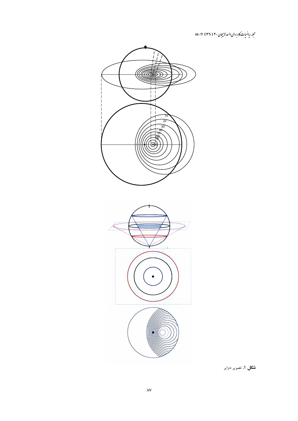مجله رياضيات كاربردي واحد لاسچان ۳۰ (۱۳۹۰) ۹۱-۸۵



**شکل ۱.** تصویر دوایر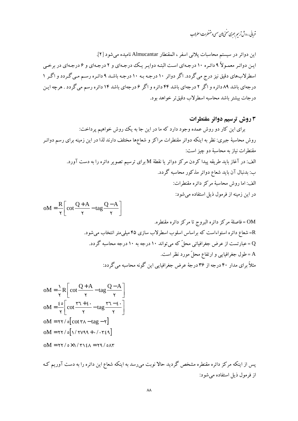.<br>قربانی، روش ترسم جسری منحی **ب**ی سهی ومقنطرات اسطرلاب

اين دوائر در سيستم محاسبات يلاني اسفر ، المقنطار Almucantar ناميده مي شود [۲]. این دوائر معمولاً ۹ دائره ۱۰ درجهای است البته دوایر یک درجهای و ۲ درجهای و ۶ درجهای در برخی اسطرلابهای دقیق نیز درج می گردد. اگر دوائر ۱۰ درجه بـه ۱۰ درجـه باشـد ۹ دائـره رسـم مـی گـردد و اگـر ۱ درجهای باشد ۸۹ دائره و اگر ۲ درجهای باشد ۴۴ دائره و اگر ۶ درجهای باشد ۱۴ دائره رسم می گردد . هرچه ایـن درجات بيشتر باشد محاسبه اسطرلاب دقيق تر خواهد بود.

### 3 روش ترسیم دوائر مقنطرات

برای این کار دو روش عمده وجود دارد که ما در این جا به یک روش خواهیم پرداخت: روش محاسبهٔ جبری: نظر به اینکه دوائر مقنطرات مراکز و شعاعها مختلف دارند لذا در این زمینه برای رسم دوائـر مقنطرات نباز به محاسبهٔ دو چیز است: الف: در آغاز باید طریقه پیدا کردن مرکز دوائر یا نقطهٔ M برای ترسیم تصویر دائره را به دست آورد. ب: بدنبال آن باید شعاع دوائر مذکور محاسبه گردد. الف: اما روش محاسبهٔ مرکز دائره مقنطرات: در این زمینه از فرمول ذیل استفاده می شود:  $R \Gamma$  $O - A$ ]  $Q + A$ 

OM = 
$$
\frac{1}{\gamma} \left[ \cot \frac{1}{\gamma} - \tan \frac{1}{\gamma} \cot \frac{1}{\gamma} - \tan \frac{1}{\gamma} \cot \frac{1}{\gamma} \cot \frac{1}{\gamma} - \tan \frac{1}{\gamma} \cot \frac{1}{\gamma} - \tan \frac{1}{\gamma} \cot \frac{1}{\gamma} \cot \frac{1}{\gamma} - \tan \frac{1}{\gamma} \cot \frac{1}{\gamma} \cot \frac{1}{\gamma} \cot \frac{1}{\gamma} \cot \frac{1}{\gamma} \cot \frac{1}{\gamma} \cot \frac{1}{\gamma} \cot \frac{1}{\gamma} \cot \frac{1}{\gamma} \cot \frac{1}{\gamma} \cot \frac{1}{\gamma} \cot \frac{1}{\gamma} \cot \frac{1}{\gamma} \cot \frac{1}{\gamma} \cot \frac{1}{\gamma} \cot \frac{1}{\gamma} \cot \frac{1}{\gamma} \cot \frac{1}{\gamma} \cot \frac{1}{\gamma} \cot \frac{1}{\gamma} \cot \frac{1}{\gamma} \cot \frac{1}{\gamma} \cot \frac{1}{\gamma} \cot \frac{1}{\gamma} \cot \frac{1}{\gamma} \cot \frac{1}{\gamma} \cot \frac{1}{\gamma} \cot \frac{1}{\gamma} \cot \frac{1}{\gamma} \cot \frac{1}{\gamma} \cot \frac{1}{\gamma} \cot \frac{1}{\gamma} \cot \frac{1}{\gamma} \cot \frac{1}{\gamma} \cot \frac{1}{\gamma} \cot \frac{1}{\gamma} \cot \frac{1}{\gamma} \cot \frac{1}{\gamma} \cot \frac{1}{\gamma} \cot \frac{1}{\gamma} \cot \frac{1}{\gamma} \cot \frac{1}{\gamma} \cot \frac{1}{\gamma} \cot \frac{1}{\gamma} \cot \frac{1}{\gamma} \cot \frac{1}{\gamma} \cot \frac{1}{\gamma} \cot \frac{1}{\gamma} \cot \frac{1}{\gamma} \cot \frac{1}{\gamma} \cot \frac{1}{\gamma} \cot \frac{1}{\gamma} \cot \frac{1}{\gamma} \cot \frac{1}{\gamma} \cot \frac{1}{\gamma} \cot \frac{1}{\gamma} \cot \frac{1}{\gamma} \cot \frac{1}{\gamma} \cot \frac{1}{\gamma} \cot \frac{1}{\gamma} \cot \frac{1}{\gamma} \cot \frac{1}{\gamma} \cot \frac{1}{\gamma} \cot \frac{
$$

$$
oM = \frac{1}{\gamma} R \left[ \cot \frac{Q+A}{\gamma} - \tan \frac{Q-A}{\gamma} \right]
$$
  
\n
$$
oM = \frac{\epsilon \circ}{\gamma} \left[ \cot \frac{r\gamma + \epsilon}{\gamma} - \tan \frac{r\gamma - \epsilon}{\gamma} \right]
$$
  
\n
$$
oM = \gamma \gamma / \circ [\cot r\lambda - \tan r]
$$
  
\n
$$
oM = \gamma \gamma / \circ [\gamma / \gamma \gamma \gamma + \sqrt{r \epsilon \gamma}]
$$
  
\n
$$
oM = \gamma \gamma / \circ \chi / \gamma \gamma \epsilon \lambda = \gamma \gamma / \circ \lambda \gamma
$$

پس از اینکه مرکز دائره مقنطره مشخص گردید حالا نوبت میرسد به اینکه شعاع این دائره را به دست آوریم کـه از فرمول ذیل استفاده می شود: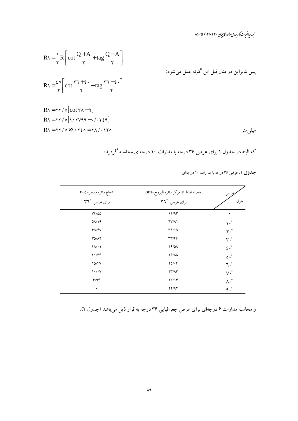مجله ریاضیات کاربردی واحد لاسچان ۳۰ (۱۳۹۰) ۸۱-۸۵

$$
R\gamma = \frac{1}{\gamma} R \left[ \cot \frac{Q+A}{\gamma} + \tan \frac{Q-A}{\gamma} \right]
$$
  
\n
$$
R\gamma = \frac{\epsilon \circ}{\gamma} \left[ \cot \frac{\gamma \gamma + \epsilon}{\gamma} + \tan \frac{\gamma \gamma - \epsilon}{\gamma} \right]
$$
  
\n
$$
R\gamma = \frac{\epsilon \circ}{\gamma} \left[ \cot \frac{\gamma \gamma + \epsilon}{\gamma} + \tan \frac{\gamma \gamma - \epsilon}{\gamma} \right]
$$
  
\n
$$
R\gamma = \gamma \gamma / \sigma \left[ \cot \gamma \gamma - \gamma \right]
$$
  
\n
$$
R\gamma = \gamma \gamma / \sigma \left[ \gamma / \gamma \gamma \gamma \gamma - \gamma / \gamma \epsilon \gamma \right]
$$
  
\n
$$
R\gamma = \gamma \gamma / \sigma \left[ \gamma / \gamma \gamma \gamma \gamma - \gamma / \gamma \epsilon \gamma \right]
$$
  
\n
$$
R\gamma = \gamma \gamma / \sigma \left[ \gamma / \gamma \gamma \gamma \gamma - \gamma / \gamma \gamma \gamma \gamma \right]
$$

که البته در جدول ۱ برای عرض ۳۶ درجه با مدارات ۱۰ درجهای محاسبه گردیده.

جدول ۱. عرض ۳۶ درجه با مدارات ۱۰ درجهای

| شعاع دائره مقنطرات=r                    | فاصله نقاط از مركز دائره البروج=OM | يجوض                          |
|-----------------------------------------|------------------------------------|-------------------------------|
| برای عرض <b>٣٦°</b>                     | برای عرض <b>٢٦</b> °               | طول                           |
| $V$ ۶/۵۵                                | 91/97                              | ٠                             |
| $\Delta\lambda/\lambda$ 9               | $fV/\Lambda$                       | $\lambda^{\bullet}$           |
| $F\Delta/FV$                            | 49/10                              | $Y \cdot$ °                   |
| <b>٣٥/٨٢</b>                            | 39/47                              | $\mathbf{r} \cdot \mathbf{r}$ |
| $Y \wedge / \cdot$                      | <b>Y9/01</b>                       | $\epsilon \cdot^{\circ}$      |
| 71/٣۶                                   | <b>YS/AA</b>                       | $\circ \cdot^{\circ}$         |
| 10/FV                                   | $Y\Delta/\cdot F$                  | $\mathcal{L} \cdot$           |
| $\mathcal{N} \cdot / \cdot \mathcal{N}$ | YY'/AY                             | $V \cdot$ °                   |
| F/99                                    | $\mathsf{Y}\mathsf{Y}/\mathsf{Y}$  | $\Lambda \cdot \degree$       |
| ٠                                       | YY/9Y                              | $\gamma \cdot$                |

و محاسبه مدارات ۶ درجهاي براي عرض جغرافيايي ۳۶ درجه به قرار ذيل مي باشد (جدول ۲).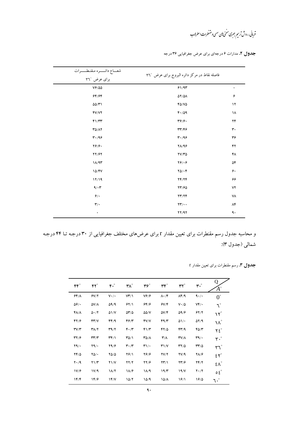.<br>قربانی، روش *تریم جبری منحی بای سمی و متسلر*ات *اسر لا*ب

جدول ۲. مدارات ۶ درجهاي براي عرض جغرافيايي ۳۶ درجه

| شعــاع دائــــره مـقنـطــــرات | فاصله نقاط در مركز دائره البروج براى عرض ٣٦° |                        |
|--------------------------------|----------------------------------------------|------------------------|
| برای عرض ٣٦°                   |                                              |                        |
| $V$ ۶/۵۵                       | 91/97                                        | ٠                      |
| 98/98                          | $\Delta Y/\Delta A$                          | ۶                      |
| $\Delta\Delta/\Upsilon$        | $F\Delta/V\Delta$                            | $\mathcal{N}$          |
| fV/Y                           | F.709                                        | ۱۸                     |
| F1/TT                          | 49/9.                                        | ۲۴                     |
| $T\Delta/\Lambda$              | $\mathsf{r}\mathsf{r}/\mathsf{r}\mathsf{r}$  | ٣٠                     |
| 4.49                           | 4.199                                        | ٣۶                     |
| Y9/9.                          | 71/98                                        | ۴۲                     |
| 77/97                          | $\gamma \gamma / \gamma \Delta$              | ۴۸                     |
| $1/\sqrt{4r}$                  | Y9/19                                        | ۵۴                     |
| 10/FV                          | $Y\Delta/\cdot F$                            | ۶.                     |
| 17/19                          | YF/YF                                        | ۶۶                     |
| 9/17                           | YY/60                                        | ۷۲                     |
| 9/                             | YY/Y                                         | ٧٨                     |
| $\mathbf{r}'$                  | $\mathbf{Y}\mathbf{Y}/\cdot\cdot$            | $\Lambda \mathfrak{F}$ |
| ٠                              | YY/9Y                                        | ٩.                     |

و محاسبه جدول رسم مقنطرات برای تعیین مقدار r برای عرضهای مختلف جغرافیایی از ۳۰ درجـه تـا ۴۴ درجـه شمالي (جدول ٣):

| <b>جدول ۳</b> . رسم مقنطرات برای تعیین مقدار r |  |  |  |  |
|------------------------------------------------|--|--|--|--|
|------------------------------------------------|--|--|--|--|

| $\mathfrak{r}\mathfrak{r}^\circ$   | $\mathsf{FT}^\circ$                | $\mathfrak{r}$ .                     | $\mathsf{r} \wedge^\circ$     | $\mathbf{r}$                 | $\mathsf{r}\mathsf{r}^\circ$   | $\mathsf{r}\mathsf{r}^\circ$      | $\mathbf{r}$ .                    | Q<br>$A^{\circ}$           |
|------------------------------------|------------------------------------|--------------------------------------|-------------------------------|------------------------------|--------------------------------|-----------------------------------|-----------------------------------|----------------------------|
| 98/1                               | Y/Y                                | $V \cdot / \cdot$                    | VT/1                          | $V \hat{r}/\hat{r}$          | $\Lambda \cdot / \mathfrak{F}$ | $\Lambda$ F/9                     | 4.1.                              | $0^{\circ}$                |
| $\Delta \hat{z}/\Delta$            | $\Delta V/\Lambda$                 | $\Delta$ 9/9                         | 94/1                          | 88/9                         | 9Y/F                           | $V \cdot / \Delta$                | $Vf$ .                            | $\mathcal{L}^{\circ}$      |
| ۴۸/۸                               | $\Delta \cdot / \Upsilon$          | $\Delta$ \/V                         | $\Delta \mathbf{Y}/\Delta$    | $\Delta\Delta/V$             | 57/۴                           | 5918                              | 97/7                              | $\mathcal{N}^{\circ}$      |
| 87/9                               | Y'                                 | FF/9                                 | 46/6                          | fV/V                         | FA/Y                           | $\Delta$ \/ $\cdot$               | $\Delta Y$ /9                     | $\mathcal{N}^{\circ}$      |
| $\Upsilon V/\Upsilon$              | ۳۸/۲                               | T9/7                                 | $F \cdot / T$                 | $f\$                         | $YY/\Delta$                    | 4379                              | $F\Delta/\Upsilon$                | $Y \xi^{\circ}$            |
| $\mathbf{r} \mathbf{y}/\mathbf{r}$ | $\mathsf{r}\mathsf{r}'\mathsf{r}'$ | $\mathsf{Y} \mathsf{Y} / \mathsf{1}$ | ۳۵/۱                          | ۳۵/۸                         | $\mathbf{r}/\mathbf{v}$        | $\mathsf{r}\mathsf{v}/\mathsf{v}$ | $\mathbf{r}$ 9/.                  | $\mathsf{r} \cdot^{\circ}$ |
| Y9/                                | Y9/                                | Y9/6                                 | $\mathbf{r} \cdot \mathbf{r}$ | $\mathbf{r}\wedge\mathbf{r}$ | $T\gamma/V$                    | ۳۲/۵                              | $\mathbf{r}\mathbf{r}/\mathbf{r}$ | $\mathsf{r} \mathsf{r}$    |
| $YF/\Delta$                        | $Y\Delta/\cdot$                    | $Y\Delta/\Delta$                     | 7811                          | $Y \hat{z}/\hat{z}$          | $\Upsilon V/\Upsilon$          | <b>7V/9</b>                       | 28/4                              | $\Sigma^{\circ}$           |
| $Y \cdot / 9$                      | $Y\frac{1}{T}$                     | $Y\setminus V$                       | YY/Y                          | YY/9                         | $\Upsilon\Upsilon/\Upsilon$    | ۲۳/۶                              | YY/Y                              | $\epsilon \wedge^{\circ}$  |
| V/F                                | 17/9                               | $1/\sqrt{7}$                         | 18/6                          | $1/\sqrt{9}$                 | 19/7                           | 19/V                              | $Y \cdot / Y$                     | $\circ \epsilon^{\circ}$   |
| 1F/F                               | ۱۴/۶                               | 14/V                                 | 10/7                          | 15/9                         | 15/1                           | 1611                              | 19/0                              | $\mathcal{L}$ .            |